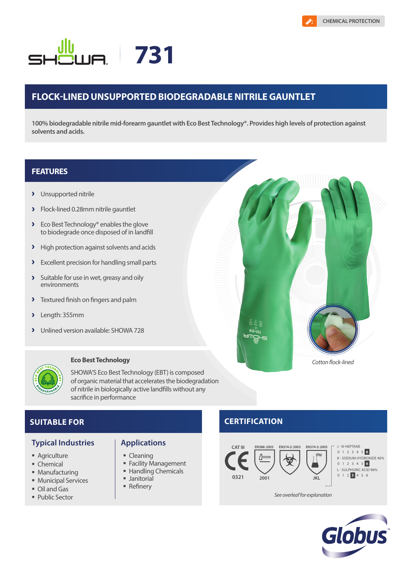# **731**

## **FLOCK-LINED UNSUPPORTED BIODEGRADABLE NITRILE GAUNTLET**

**100% biodegradable nitrile mid-forearm gauntlet with Eco Best Technology®. Provides high levels of protection against solvents and acids.**

### **FEATURES**

- > Unsupported nitrile
- **>** Flock-lined 0.28mm nitrile gauntlet
- ▶ Eco Best Technology® enables the glove to biodegrade once disposed of in landfill
- > High protection against solvents and acids
- **Excellent precision for handling small parts**
- $\overline{\phantom{a}}$ Suitable for use in wet, greasy and oily environments
- **>** Textured finish on fingers and palm
- Length: 355mm  $\overline{\phantom{a}}$
- Unlined version available: SHOWA 728



#### **Eco Best Technology**

SHOWA'S Eco Best Technology (EBT) is composed of organic material that accelerates the biodegradation of nitrile in biologically active landfills without any sacrifice in performance



### **SUITABLE FOR**

#### **Typical Industries Applications**

- **Agriculture**
- Chemical
- **Manufacturing**
- **Municipal Services**
- Oil and Gas
- **Public Sector**

- **Cleaning**
- **Facility Management**
- Handling Chemicals
- **Janitorial**
- **Refinery**

# **CERTIFICATION**